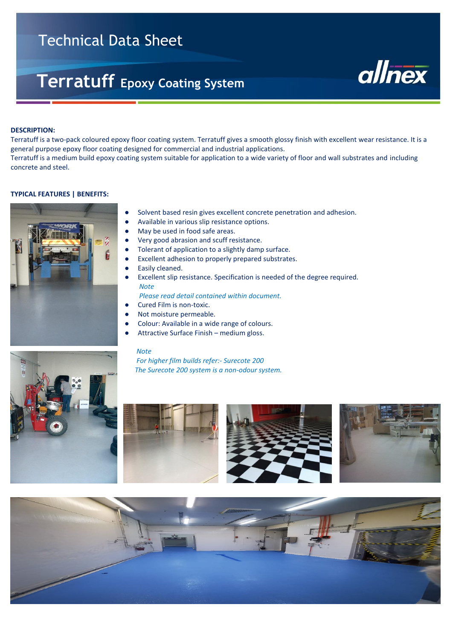# Technical Data Sheet

# **Terratuff Epoxy Coating System**



#### **DESCRIPTION:**

Ī

Terratuff is a two-pack coloured epoxy floor coating system. Terratuff gives a smooth glossy finish with excellent wear resistance. It is a general purpose epoxy floor coating designed for commercial and industrial applications. Terratuff is a medium build epoxy coating system suitable for application to a wide variety of floor and wall substrates and including concrete and steel.

## **TYPICAL FEATURES | BENEFITS:**



- Solvent based resin gives excellent concrete penetration and adhesion.
- Available in various slip resistance options.
- May be used in food safe areas.
	- **●** Very good abrasion and scuff resistance.
- **●** Tolerant of application to a slightly damp surface.
- **●** Excellent adhesion to properly prepared substrates.
- Easily cleaned.
- Excellent slip resistance. Specification is needed of the degree required. *Note*

 *Please read detail contained within document.*

- Cured Film is non-toxic.
- Not moisture permeable.
- Colour: Available in a wide range of colours.
- Attractive Surface Finish medium gloss.

#### *Note*

 *For higher film builds refer:- Surecote 200 The Surecote 200 system is a non-odour system.*









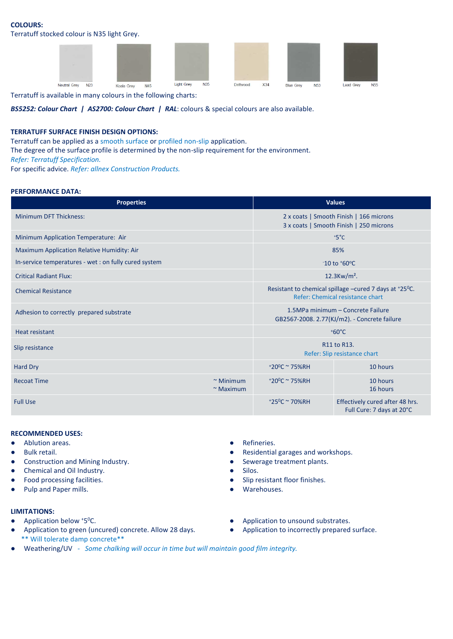# **COLOURS:**

Terratuff stocked colour is N35 light Grey.



Terratuff is available in many colours in the following charts:

*BS5252: Colour Chart | AS2700: Colour Chart | RAL*: colours & special colours are also available.

# **TERRATUFF SURFACE FINISH DESIGN OPTIONS:**

Terratuff can be applied as a smooth surface or profiled non-slip application.

The degree of the surface profile is determined by the non-slip requirement for the environment.

*Refer: Terratuff Specification.*

For specific advice. *Refer: allnex Construction Products.*

## **PERFORMANCE DATA:**

| <b>Properties</b>                                     | <b>Values</b>                                                                              |                               |                                                              |  |  |
|-------------------------------------------------------|--------------------------------------------------------------------------------------------|-------------------------------|--------------------------------------------------------------|--|--|
| <b>Minimum DFT Thickness:</b>                         | 2 x coats   Smooth Finish   166 microns<br>3 x coats   Smooth Finish   250 microns         |                               |                                                              |  |  |
| Minimum Application Temperature: Air                  |                                                                                            | $+5^{\circ}$ C                |                                                              |  |  |
| Maximum Application Relative Humidity: Air            |                                                                                            | 85%                           |                                                              |  |  |
| In-service temperatures - wet : on fully cured system |                                                                                            | $-10$ to $+60$ <sup>o</sup> C |                                                              |  |  |
| <b>Critical Radiant Flux:</b>                         |                                                                                            | $12.3$ Kw/m <sup>2</sup> .    |                                                              |  |  |
| <b>Chemical Resistance</b>                            | Resistant to chemical spillage -cured 7 days at +25°C.<br>Refer: Chemical resistance chart |                               |                                                              |  |  |
| Adhesion to correctly prepared substrate              | 1.5MPa minimum – Concrete Failure<br>GB2567-2008. 2.77(KJ/m2). - Concrete failure          |                               |                                                              |  |  |
| <b>Heat resistant</b>                                 | $+60^{\circ}$ C                                                                            |                               |                                                              |  |  |
| Slip resistance                                       | R11 to R13.<br>Refer: Slip resistance chart                                                |                               |                                                              |  |  |
| Hard Dry                                              |                                                                                            | $+20^{\circ}$ C ~ 75%RH       | 10 hours                                                     |  |  |
| <b>Recoat Time</b>                                    | $~\sim$ Minimum<br>$\sim$ Maximum                                                          | $+20^{\circ}$ C ~ 75%RH       | 10 hours<br>16 hours                                         |  |  |
| <b>Full Use</b>                                       |                                                                                            | $+25^{\circ}$ C ~ 70%RH       | Effectively cured after 48 hrs.<br>Full Cure: 7 days at 20°C |  |  |

# **RECOMMENDED USES:**

- Ablution areas. <br>● Refineries.
- 
- Construction and Mining Industry. <br>● Sewerage treatment plants.
- Chemical and Oil Industry. Silos.
- 
- Pulp and Paper mills. Warehouses.

# **LIMITATIONS:**

- $\bullet$  Application below  $*5^{\circ}$ C.
- Application to green (uncured) concrete. Allow 28 days. <br>
Application to incorrectly prepared surface. \*\* Will tolerate damp concrete\*\*
- 
- Bulk retail. <br>● Residential garages and workshops.
	-
	-
	- Food processing facilities.  $\bullet$  Slip resistant floor finishes.
		-
		- Application to unsound substrates.
		-
- Weathering/UV  *Some chalking will occur in time but will maintain good film integrity.*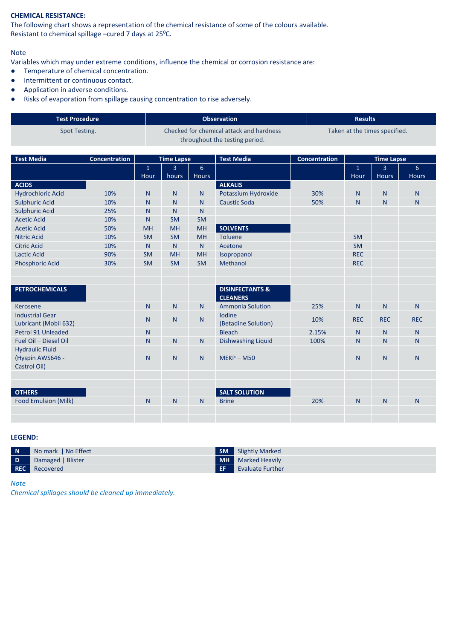# **CHEMICAL RESISTANCE:**

The following chart shows a representation of the chemical resistance of some of the colours available. Resistant to chemical spillage –cured 7 days at 25<sup>o</sup>C.

# Note

Variables which may under extreme conditions, influence the chemical or corrosion resistance are:<br>• Temperature of chemical concentration.

- Temperature of chemical concentration.
- Intermittent or continuous contact.
- Application in adverse conditions.
- Risks of evaporation from spillage causing concentration to rise adversely.

| Test Procedure | <b>Observation</b>                       | <b>Results</b>                |
|----------------|------------------------------------------|-------------------------------|
| Spot Testing.  | Checked for chemical attack and hardness | Taken at the times specified. |
|                | throughout the testing period.           |                               |

| <b>Test Media</b>                                          | <b>Concentration</b> | <b>Time Lapse</b> |                |                | <b>Test Media</b>                             | <b>Concentration</b> | <b>Time Lapse</b> |                |                |
|------------------------------------------------------------|----------------------|-------------------|----------------|----------------|-----------------------------------------------|----------------------|-------------------|----------------|----------------|
|                                                            |                      | $\mathbf{1}$      | $\overline{3}$ | 6              |                                               |                      | $\mathbf{1}$      | $\overline{3}$ | $6\phantom{1}$ |
|                                                            |                      | Hour              | hours          | <b>Hours</b>   |                                               |                      | Hour              | <b>Hours</b>   | <b>Hours</b>   |
| <b>ACIDS</b>                                               |                      |                   |                |                | <b>ALKALIS</b>                                |                      |                   |                |                |
| <b>Hydrochloric Acid</b>                                   | 10%                  | N <sub>1</sub>    | N              | N <sub>1</sub> | Potassium Hydroxide                           | 30%                  | N.                | N              | N.             |
| <b>Sulphuric Acid</b>                                      | 10%                  | N                 | $\mathsf{N}$   | N              | <b>Caustic Soda</b>                           | 50%                  | N <sub>1</sub>    | N              | $\mathsf{N}$   |
| <b>Sulphuric Acid</b>                                      | 25%                  | N                 | N <sub>1</sub> | N              |                                               |                      |                   |                |                |
| <b>Acetic Acid</b>                                         | 10%                  | N                 | <b>SM</b>      | <b>SM</b>      |                                               |                      |                   |                |                |
| <b>Acetic Acid</b>                                         | 50%                  | <b>MH</b>         | <b>MH</b>      | <b>MH</b>      | <b>SOLVENTS</b>                               |                      |                   |                |                |
| <b>Nitric Acid</b>                                         | 10%                  | <b>SM</b>         | <b>SM</b>      | <b>MH</b>      | <b>Toluene</b>                                |                      | <b>SM</b>         |                |                |
| <b>Citric Acid</b>                                         | 10%                  | N                 | N              | $\mathsf{N}$   | Acetone                                       |                      | <b>SM</b>         |                |                |
| <b>Lactic Acid</b>                                         | 90%                  | <b>SM</b>         | <b>MH</b>      | <b>MH</b>      | Isopropanol                                   |                      | <b>REC</b>        |                |                |
| <b>Phosphoric Acid</b>                                     | 30%                  | <b>SM</b>         | <b>SM</b>      | <b>SM</b>      | Methanol                                      |                      | <b>REC</b>        |                |                |
|                                                            |                      |                   |                |                |                                               |                      |                   |                |                |
|                                                            |                      |                   |                |                |                                               |                      |                   |                |                |
| <b>PETROCHEMICALS</b>                                      |                      |                   |                |                | <b>DISINFECTANTS &amp;</b><br><b>CLEANERS</b> |                      |                   |                |                |
| Kerosene                                                   |                      | $\mathsf{N}$      | N              | $\mathsf{N}$   | <b>Ammonia Solution</b>                       | 25%                  | $\mathsf{N}$      | N              | $\mathsf{N}$   |
| <b>Industrial Gear</b><br>Lubricant (Mobil 632)            |                      | N                 | N              | $\mathsf{N}$   | <b>Iodine</b><br>(Betadine Solution)          | 10%                  | <b>REC</b>        | <b>REC</b>     | <b>REC</b>     |
| Petrol 91 Unleaded                                         |                      | N <sub>1</sub>    |                |                | <b>Bleach</b>                                 | 2.15%                | N <sub>1</sub>    | N              | N <sub>1</sub> |
| Fuel Oil - Diesel Oil                                      |                      | N                 | $\mathsf{N}$   | N              | <b>Dishwashing Liquid</b>                     | 100%                 | $\mathsf{N}$      | N              | $\mathsf{N}$   |
| <b>Hydraulic Fluid</b><br>(Hyspin AWS646 -<br>Castrol Oil) |                      | N                 | N              | N <sub>1</sub> | $MEKP - M50$                                  |                      | N <sub>1</sub>    | N              | $\mathsf{N}$   |
|                                                            |                      |                   |                |                |                                               |                      |                   |                |                |
|                                                            |                      |                   |                |                |                                               |                      |                   |                |                |
| <b>OTHERS</b>                                              |                      |                   |                |                | <b>SALT SOLUTION</b>                          |                      |                   |                |                |
| Food Emulsion (Milk)                                       |                      | N <sub>1</sub>    | N <sub>1</sub> | N              | <b>Brine</b>                                  | 20%                  | N <sub>1</sub>    | N              | N              |
|                                                            |                      |                   |                |                |                                               |                      |                   |                |                |
|                                                            |                      |                   |                |                |                                               |                      |                   |                |                |

# **LEGEND:**

| $\blacksquare$ | No mark   No Effect | <b>SM</b> Slightly Marked |
|----------------|---------------------|---------------------------|
| $\overline{D}$ | Damaged   Blister   | <b>MH</b> Marked Heavily  |
|                | REC Recovered       | <b>Evaluate Further</b>   |

*Note*

*Chemical spillages should be cleaned up immediately.*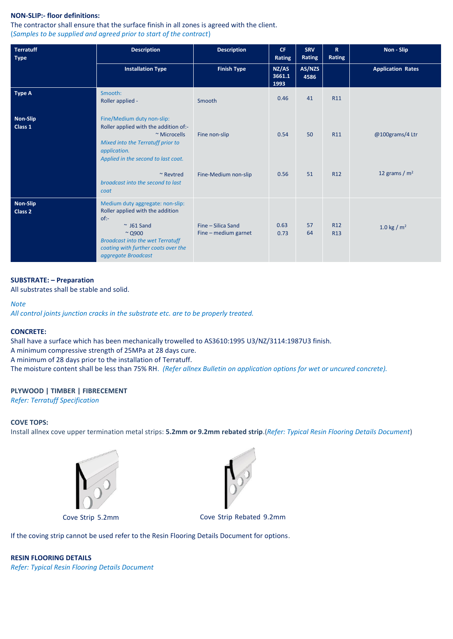# **NON-SLIP:- floor definitions:**

The contractor shall ensure that the surface finish in all zones is agreed with the client. (*Samples to be supplied and agreed prior to start of the contract*)

| <b>Terratuff</b><br><b>Type</b> | <b>Description</b>                                                                                                                                                                                                         | <b>Description</b>                         | CF.<br>Rating           | <b>SRV</b><br>Rating | $\mathbf R$<br>Rating         | Non - Slip                         |  |
|---------------------------------|----------------------------------------------------------------------------------------------------------------------------------------------------------------------------------------------------------------------------|--------------------------------------------|-------------------------|----------------------|-------------------------------|------------------------------------|--|
|                                 | <b>Installation Type</b>                                                                                                                                                                                                   | <b>Finish Type</b>                         | NZ/AS<br>3661.1<br>1993 | AS/NZS<br>4586       |                               | <b>Application Rates</b>           |  |
| <b>Type A</b>                   | Smooth:<br>Roller applied -                                                                                                                                                                                                | Smooth                                     | 0.46                    | 41                   | <b>R11</b>                    |                                    |  |
| Non-Slip<br>Class 1             | Fine/Medium duty non-slip:<br>Roller applied with the addition of:-<br>~ Microcells<br>Mixed into the Terratuff prior to<br>application.<br>Applied in the second to last coat.<br>$~\sim$ Revtred                         | Fine non-slip<br>Fine-Medium non-slip      | 0.54<br>0.56            | 50<br>51             | R11<br>R <sub>12</sub>        | @100grams/4 Ltr<br>12 grams / $m2$ |  |
|                                 | broadcast into the second to last<br>coat                                                                                                                                                                                  |                                            |                         |                      |                               |                                    |  |
| Non-Slip<br>Class 2             | Medium duty aggregate: non-slip:<br>Roller applied with the addition<br>$of:-$<br>$~\sim$ J61 Sand<br>$\sim$ Q900<br><b>Broadcast into the wet Terratuff</b><br>coating with further coats over the<br>aggregate Broadcast | Fine - Silica Sand<br>Fine - medium garnet | 0.63<br>0.73            | 57<br>64             | R <sub>12</sub><br><b>R13</b> | 1.0 kg / $m2$                      |  |

# **SUBSTRATE: – Preparation**

All substrates shall be stable and solid.

## *Note*

*All control joints junction cracks in the substrate etc. are to be properly treated.*

# **CONCRETE:**

Shall have a surface which has been mechanically trowelled to AS3610:1995 U3/NZ/3114:1987U3 finish. A minimum compressive strength of 25MPa at 28 days cure. A minimum of 28 days prior to the installation of Terratuff. The moisture content shall be less than 75% RH. *(Refer allnex Bulletin on application options for wet or uncured concrete).*

# **PLYWOOD | TIMBER | FIBRECEMENT**

*Refer: Terratuff Specification*

# **COVE TOPS:**

Install allnex cove upper termination metal strips: **5.2mm or 9.2mm rebated strip**.(*Refer: Typical Resin Flooring Details Document*)





Cove Strip 5.2mm Cove Strip Rebated 9.2mm

If the coving strip cannot be used refer to the Resin Flooring Details Document for options.

**RESIN FLOORING DETAILS** *Refer: Typical Resin Flooring Details Document*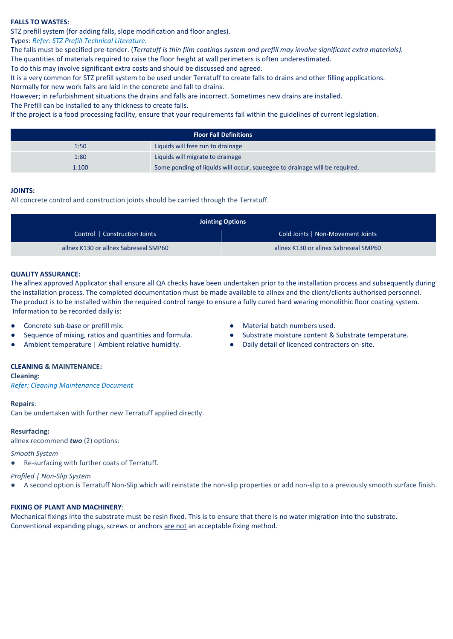# **FALLS TO WASTES:**

STZ prefill system (for adding falls, slope modification and floor angles).

## Types: *Refer: STZ Prefill Technical Literature.*

The falls must be specified pre-tender. (*Terratuff is thin film coatings system and prefill may involve significant extra materials).* The quantities of materials required to raise the floor height at wall perimeters is often underestimated.

To do this may involve significant extra costs and should be discussed and agreed.

It is a very common for STZ prefill system to be used under Terratuff to create falls to drains and other filling applications.

Normally for new work falls are laid in the concrete and fall to drains.

However; in refurbishment situations the drains and falls are incorrect. Sometimes new drains are installed.

The Prefill can be installed to any thickness to create falls.

If the project is a food processing facility, ensure that your requirements fall within the guidelines of current legislation.

| <b>Floor Fall Definitions</b> |                                                                            |  |  |  |
|-------------------------------|----------------------------------------------------------------------------|--|--|--|
| 1:50                          | Liquids will free run to drainage                                          |  |  |  |
| 1:80                          | Liquids will migrate to drainage                                           |  |  |  |
| 1:100                         | Some ponding of liquids will occur, squeegee to drainage will be required. |  |  |  |

## **JOINTS:**

All concrete control and construction joints should be carried through the Terratuff.

| <b>Jointing Options</b>               |                                       |  |  |  |
|---------------------------------------|---------------------------------------|--|--|--|
| Control   Construction Joints         | Cold Joints   Non-Movement Joints     |  |  |  |
| allnex K130 or allnex Sabreseal SMP60 | allnex K130 or allnex Sabreseal SMP60 |  |  |  |

## **QUALITY ASSURANCE:**

The allnex approved Applicator shall ensure all QA checks have been undertaken prior to the installation process and subsequently during the installation process. The completed documentation must be made available to allnex and the client/clients authorised personnel. The product is to be installed within the required control range to ensure a fully cured hard wearing monolithic floor coating system. Information to be recorded daily is:

- 
- 
- Ambient temperature | Ambient relative humidity. <br>
Daily detail of licenced contractors on-site.

# **CLEANING & MAINTENANCE:**

**Cleaning:** 

*Refer: Cleaning Maintenance Document*

## **Repairs**:

Can be undertaken with further new Terratuff applied directly.

## **Resurfacing:**

allnex recommend *two* (2) options:

## *Smooth System*

● Re-surfacing with further coats of Terratuff.

## *Profiled | Non-Slip System*

A second option is Terratuff Non-Slip which will reinstate the non-slip properties or add non-slip to a previously smooth surface finish.

## **FIXING OF PLANT AND MACHINERY**:

Mechanical fixings into the substrate must be resin fixed. This is to ensure that there is no water migration into the substrate. Conventional expanding plugs, screws or anchors are not an acceptable fixing method.

- Concrete sub-base or prefill mix. Concrete sub-base or prefill mix. Concrete sub-base or prefill mix.
- Sequence of mixing, ratios and quantities and formula. <br> Substrate moisture content & Substrate temperature.
	-